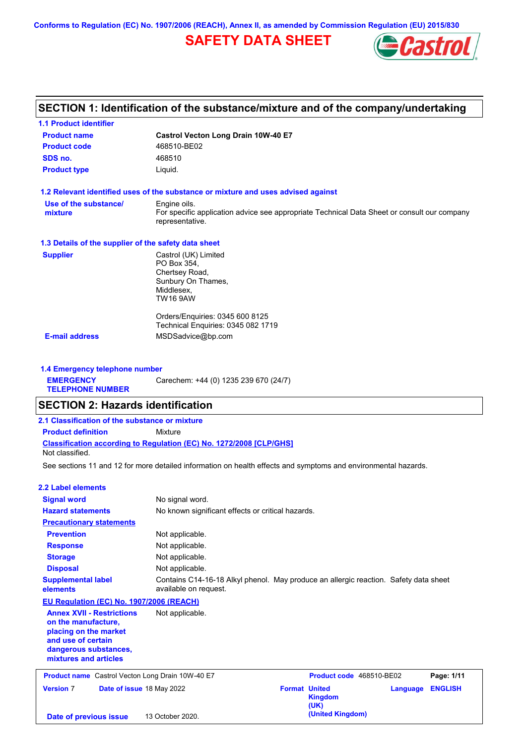**Conforms to Regulation (EC) No. 1907/2006 (REACH), Annex II, as amended by Commission Regulation (EU) 2015/830**

# **SAFETY DATA SHEET**



# **SECTION 1: Identification of the substance/mixture and of the company/undertaking**

| <b>1.1 Product identifier</b>                        |                                                                                                                |
|------------------------------------------------------|----------------------------------------------------------------------------------------------------------------|
| <b>Product name</b>                                  | Castrol Vecton Long Drain 10W-40 E7                                                                            |
| <b>Product code</b>                                  | 468510-BE02                                                                                                    |
| SDS no.                                              | 468510                                                                                                         |
| <b>Product type</b>                                  | Liquid.                                                                                                        |
|                                                      | 1.2 Relevant identified uses of the substance or mixture and uses advised against                              |
| Use of the substance/                                | Engine oils.                                                                                                   |
| mixture                                              | For specific application advice see appropriate Technical Data Sheet or consult our company<br>representative. |
| 1.3 Details of the supplier of the safety data sheet |                                                                                                                |
| <b>Supplier</b>                                      | Castrol (UK) Limited                                                                                           |
|                                                      | PO Box 354.                                                                                                    |
|                                                      | Chertsey Road,                                                                                                 |
|                                                      | Sunbury On Thames,<br>Middlesex,                                                                               |
|                                                      | TW16 9AW                                                                                                       |
|                                                      | Orders/Enguiries: 0345 600 8125                                                                                |
|                                                      | Technical Enquiries: 0345 082 1719                                                                             |
| <b>E-mail address</b>                                | MSDSadvice@bp.com                                                                                              |

**1.4 Emergency telephone number EMERGENCY TELEPHONE NUMBER** Carechem: +44 (0) 1235 239 670 (24/7)

# **SECTION 2: Hazards identification**

| 2.1 Classification of the substance or mixture |                                                                     |
|------------------------------------------------|---------------------------------------------------------------------|
| <b>Product definition</b>                      | Mixture                                                             |
| Not classified.                                | Classification according to Regulation (EC) No. 1272/2008 [CLP/GHS] |
|                                                |                                                                     |

See sections 11 and 12 for more detailed information on health effects and symptoms and environmental hazards.

### **2.2 Label elements**

| <b>Signal word</b>                                                                                                                                       | No signal word.                                                                                               |                      |                          |          |                |
|----------------------------------------------------------------------------------------------------------------------------------------------------------|---------------------------------------------------------------------------------------------------------------|----------------------|--------------------------|----------|----------------|
|                                                                                                                                                          |                                                                                                               |                      |                          |          |                |
| <b>Hazard statements</b>                                                                                                                                 | No known significant effects or critical hazards.                                                             |                      |                          |          |                |
| <b>Precautionary statements</b>                                                                                                                          |                                                                                                               |                      |                          |          |                |
| <b>Prevention</b>                                                                                                                                        | Not applicable.                                                                                               |                      |                          |          |                |
| <b>Response</b>                                                                                                                                          | Not applicable.                                                                                               |                      |                          |          |                |
| <b>Storage</b>                                                                                                                                           | Not applicable.                                                                                               |                      |                          |          |                |
| <b>Disposal</b>                                                                                                                                          | Not applicable.                                                                                               |                      |                          |          |                |
| <b>Supplemental label</b><br>elements                                                                                                                    | Contains C14-16-18 Alkyl phenol. May produce an allergic reaction. Safety data sheet<br>available on request. |                      |                          |          |                |
| <b>EU Regulation (EC) No. 1907/2006 (REACH)</b>                                                                                                          |                                                                                                               |                      |                          |          |                |
| <b>Annex XVII - Restrictions</b><br>on the manufacture.<br>placing on the market<br>and use of certain<br>dangerous substances,<br>mixtures and articles | Not applicable.                                                                                               |                      |                          |          |                |
| <b>Product name</b> Castrol Vecton Long Drain 10W-40 E7                                                                                                  |                                                                                                               |                      | Product code 468510-BE02 |          | Page: 1/11     |
| <b>Version 7</b><br>Date of issue 18 May 2022                                                                                                            |                                                                                                               | <b>Format United</b> | <b>Kingdom</b><br>(UK)   | Language | <b>ENGLISH</b> |
| Date of previous issue                                                                                                                                   | 13 October 2020.                                                                                              |                      | (United Kingdom)         |          |                |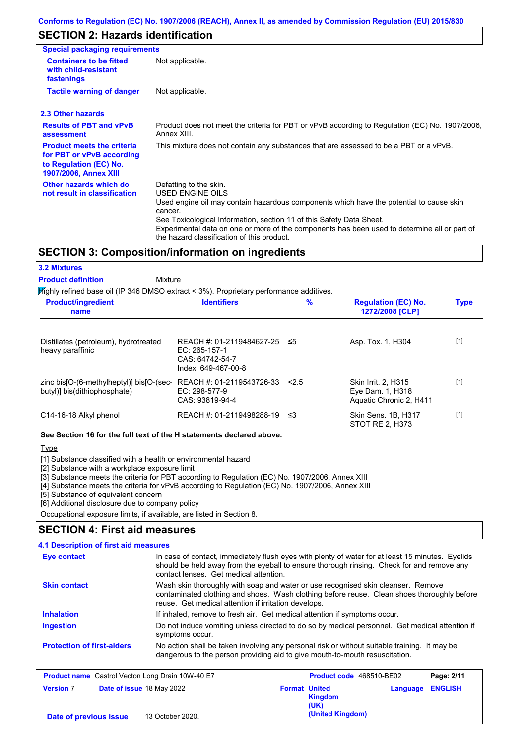# **SECTION 2: Hazards identification**

| Special packaging requirements                                                                                           |                                                                                                                                                                                                                                                                                                                                                                        |
|--------------------------------------------------------------------------------------------------------------------------|------------------------------------------------------------------------------------------------------------------------------------------------------------------------------------------------------------------------------------------------------------------------------------------------------------------------------------------------------------------------|
| <b>Containers to be fitted</b><br>with child-resistant<br>fastenings                                                     | Not applicable.                                                                                                                                                                                                                                                                                                                                                        |
| <b>Tactile warning of danger</b>                                                                                         | Not applicable.                                                                                                                                                                                                                                                                                                                                                        |
| 2.3 Other hazards                                                                                                        |                                                                                                                                                                                                                                                                                                                                                                        |
| <b>Results of PBT and vPvB</b><br>assessment                                                                             | Product does not meet the criteria for PBT or vPvB according to Regulation (EC) No. 1907/2006,<br>Annex XIII.                                                                                                                                                                                                                                                          |
| <b>Product meets the criteria</b><br>for PBT or vPvB according<br>to Regulation (EC) No.<br><b>1907/2006, Annex XIII</b> | This mixture does not contain any substances that are assessed to be a PBT or a vPvB.                                                                                                                                                                                                                                                                                  |
| Other hazards which do<br>not result in classification                                                                   | Defatting to the skin.<br>USED ENGINE OILS<br>Used engine oil may contain hazardous components which have the potential to cause skin<br>cancer.<br>See Toxicological Information, section 11 of this Safety Data Sheet.<br>Experimental data on one or more of the components has been used to determine all or part of<br>the hazard classification of this product. |

### **SECTION 3: Composition/information on ingredients**

#### **3.2 Mixtures**

Mixture **Product definition**

Highly refined base oil (IP 346 DMSO extract < 3%). Proprietary performance additives.

| <b>Product/ingredient</b><br>name                                        | <b>Identifiers</b>                                                                        | $\frac{9}{6}$ | <b>Regulation (EC) No.</b><br>1272/2008 [CLP]                      | <b>Type</b> |
|--------------------------------------------------------------------------|-------------------------------------------------------------------------------------------|---------------|--------------------------------------------------------------------|-------------|
| Distillates (petroleum), hydrotreated<br>heavy paraffinic                | REACH #: 01-2119484627-25 ≤5<br>EC: $265-157-1$<br>CAS: 64742-54-7<br>Index: 649-467-00-8 |               | Asp. Tox. 1, H304                                                  | $[1]$       |
| zinc bis[O-(6-methylheptyl)] bis[O-(sec-<br>butyl)] bis(dithiophosphate) | REACH #: 01-2119543726-33<br>$EC: 298-577-9$<br>CAS: 93819-94-4                           | 2.5           | Skin Irrit. 2, H315<br>Eye Dam. 1, H318<br>Aquatic Chronic 2, H411 | $[1]$       |
| C14-16-18 Alkyl phenol                                                   | REACH #: 01-2119498288-19                                                                 | - ≤3          | Skin Sens, 1B, H317<br>STOT RE 2. H373                             | $[1]$       |

**See Section 16 for the full text of the H statements declared above.**

### **Type**

[1] Substance classified with a health or environmental hazard

[2] Substance with a workplace exposure limit

[3] Substance meets the criteria for PBT according to Regulation (EC) No. 1907/2006, Annex XIII

[4] Substance meets the criteria for vPvB according to Regulation (EC) No. 1907/2006, Annex XIII

**(United Kingdom) Date of previous issue** 13 October 2020.

[5] Substance of equivalent concern

[6] Additional disclosure due to company policy

Occupational exposure limits, if available, are listed in Section 8.

### **SECTION 4: First aid measures**

| 4.1 Description of first aid measures                   |                                                                                                                                                                                                                                         |  |  |  |
|---------------------------------------------------------|-----------------------------------------------------------------------------------------------------------------------------------------------------------------------------------------------------------------------------------------|--|--|--|
| Eye contact                                             | In case of contact, immediately flush eyes with plenty of water for at least 15 minutes. Eyelids<br>should be held away from the eyeball to ensure thorough rinsing. Check for and remove any<br>contact lenses. Get medical attention. |  |  |  |
| <b>Skin contact</b>                                     | Wash skin thoroughly with soap and water or use recognised skin cleanser. Remove<br>contaminated clothing and shoes. Wash clothing before reuse. Clean shoes thoroughly before<br>reuse. Get medical attention if irritation develops.  |  |  |  |
| <b>Inhalation</b>                                       | If inhaled, remove to fresh air. Get medical attention if symptoms occur.                                                                                                                                                               |  |  |  |
| Ingestion                                               | Do not induce vomiting unless directed to do so by medical personnel. Get medical attention if<br>symptoms occur.                                                                                                                       |  |  |  |
| <b>Protection of first-aiders</b>                       | No action shall be taken involving any personal risk or without suitable training. It may be<br>dangerous to the person providing aid to give mouth-to-mouth resuscitation.                                                             |  |  |  |
| <b>Product name</b> Castrol Vecton Long Drain 10W-40 E7 | <b>Product code</b> 468510-BE02<br>Page: 2/11                                                                                                                                                                                           |  |  |  |
| <b>Version 7</b>                                        | <b>ENGLISH</b><br><b>Format United</b><br><b>Date of issue 18 May 2022</b><br>Language<br><b>Kingdom</b>                                                                                                                                |  |  |  |

**(UK)**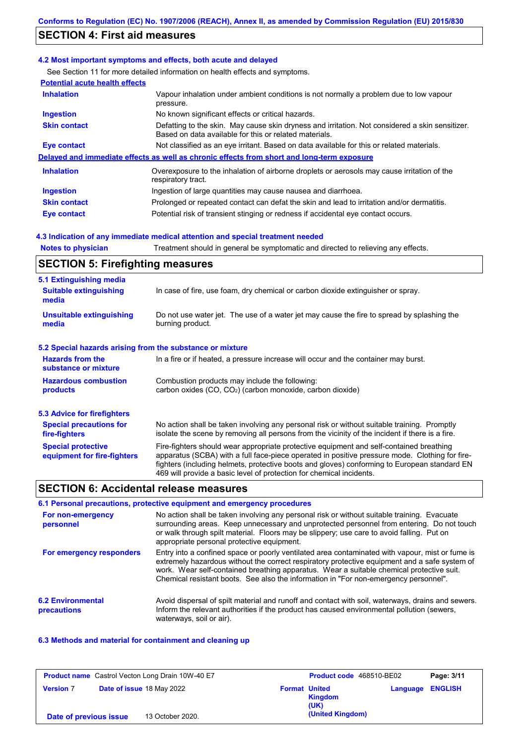# **SECTION 4: First aid measures**

### **4.2 Most important symptoms and effects, both acute and delayed**

See Section 11 for more detailed information on health effects and symptoms.

| <b>Potential acute health effects</b> |                                                                                                                                                           |
|---------------------------------------|-----------------------------------------------------------------------------------------------------------------------------------------------------------|
| <b>Inhalation</b>                     | Vapour inhalation under ambient conditions is not normally a problem due to low vapour<br>pressure.                                                       |
| <b>Ingestion</b>                      | No known significant effects or critical hazards.                                                                                                         |
| <b>Skin contact</b>                   | Defatting to the skin. May cause skin dryness and irritation. Not considered a skin sensitizer.<br>Based on data available for this or related materials. |
| Eye contact                           | Not classified as an eye irritant. Based on data available for this or related materials.                                                                 |
|                                       | Delayed and immediate effects as well as chronic effects from short and long-term exposure                                                                |
| <b>Inhalation</b>                     | Overexposure to the inhalation of airborne droplets or aerosols may cause irritation of the<br>respiratory tract.                                         |
| Ingestion                             | Ingestion of large quantities may cause nausea and diarrhoea.                                                                                             |
| <b>Skin contact</b>                   | Prolonged or repeated contact can defat the skin and lead to irritation and/or dermatitis.                                                                |
| Eye contact                           | Potential risk of transient stinging or redness if accidental eye contact occurs.                                                                         |

### **4.3 Indication of any immediate medical attention and special treatment needed**

**Notes to physician** Treatment should in general be symptomatic and directed to relieving any effects.

### **SECTION 5: Firefighting measures**

| 5.1 Extinguishing media                                   |                                                                                                                                                                                                                                                                                                                                                                   |
|-----------------------------------------------------------|-------------------------------------------------------------------------------------------------------------------------------------------------------------------------------------------------------------------------------------------------------------------------------------------------------------------------------------------------------------------|
| <b>Suitable extinguishing</b><br>media                    | In case of fire, use foam, dry chemical or carbon dioxide extinguisher or spray.                                                                                                                                                                                                                                                                                  |
| <b>Unsuitable extinguishing</b><br>media                  | Do not use water jet. The use of a water jet may cause the fire to spread by splashing the<br>burning product.                                                                                                                                                                                                                                                    |
| 5.2 Special hazards arising from the substance or mixture |                                                                                                                                                                                                                                                                                                                                                                   |
| <b>Hazards from the</b><br>substance or mixture           | In a fire or if heated, a pressure increase will occur and the container may burst.                                                                                                                                                                                                                                                                               |
| <b>Hazardous combustion</b><br>products                   | Combustion products may include the following:<br>carbon oxides $(CO, CO2)$ (carbon monoxide, carbon dioxide)                                                                                                                                                                                                                                                     |
| 5.3 Advice for firefighters                               |                                                                                                                                                                                                                                                                                                                                                                   |
| <b>Special precautions for</b><br>fire-fighters           | No action shall be taken involving any personal risk or without suitable training. Promptly<br>isolate the scene by removing all persons from the vicinity of the incident if there is a fire.                                                                                                                                                                    |
| <b>Special protective</b><br>equipment for fire-fighters  | Fire-fighters should wear appropriate protective equipment and self-contained breathing<br>apparatus (SCBA) with a full face-piece operated in positive pressure mode. Clothing for fire-<br>fighters (including helmets, protective boots and gloves) conforming to European standard EN<br>469 will provide a basic level of protection for chemical incidents. |

## **SECTION 6: Accidental release measures**

|                                         | 6.1 Personal precautions, protective equipment and emergency procedures                                                                                                                                                                                                                                                                                                              |
|-----------------------------------------|--------------------------------------------------------------------------------------------------------------------------------------------------------------------------------------------------------------------------------------------------------------------------------------------------------------------------------------------------------------------------------------|
| For non-emergency<br>personnel          | No action shall be taken involving any personal risk or without suitable training. Evacuate<br>surrounding areas. Keep unnecessary and unprotected personnel from entering. Do not touch<br>or walk through spilt material. Floors may be slippery; use care to avoid falling. Put on<br>appropriate personal protective equipment.                                                  |
| For emergency responders                | Entry into a confined space or poorly ventilated area contaminated with vapour, mist or fume is<br>extremely hazardous without the correct respiratory protective equipment and a safe system of<br>work. Wear self-contained breathing apparatus. Wear a suitable chemical protective suit.<br>Chemical resistant boots. See also the information in "For non-emergency personnel". |
| <b>6.2 Environmental</b><br>precautions | Avoid dispersal of spilt material and runoff and contact with soil, waterways, drains and sewers.<br>Inform the relevant authorities if the product has caused environmental pollution (sewers,<br>waterways, soil or air).                                                                                                                                                          |

### **6.3 Methods and material for containment and cleaning up**

| <b>Product name</b> Castrol Vecton Long Drain 10W-40 E7 |  | Product code 468510-BE02  |                      | Page: 3/11             |                         |  |
|---------------------------------------------------------|--|---------------------------|----------------------|------------------------|-------------------------|--|
| <b>Version 7</b>                                        |  | Date of issue 18 May 2022 | <b>Format United</b> | <b>Kingdom</b><br>(UK) | <b>Language ENGLISH</b> |  |
| Date of previous issue                                  |  | 13 October 2020.          |                      | (United Kingdom)       |                         |  |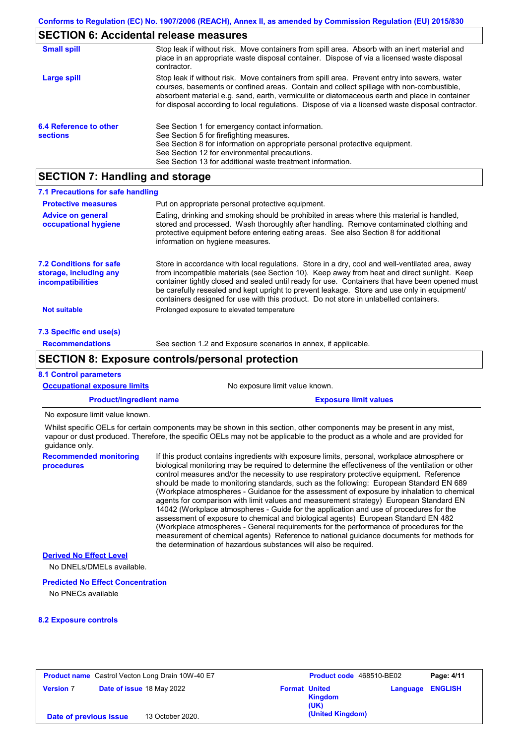## **SECTION 6: Accidental release measures**

| <b>Small spill</b>                        | Stop leak if without risk. Move containers from spill area. Absorb with an inert material and<br>place in an appropriate waste disposal container. Dispose of via a licensed waste disposal<br>contractor.                                                                                                                                                                                     |
|-------------------------------------------|------------------------------------------------------------------------------------------------------------------------------------------------------------------------------------------------------------------------------------------------------------------------------------------------------------------------------------------------------------------------------------------------|
| Large spill                               | Stop leak if without risk. Move containers from spill area. Prevent entry into sewers, water<br>courses, basements or confined areas. Contain and collect spillage with non-combustible,<br>absorbent material e.g. sand, earth, vermiculite or diatomaceous earth and place in container<br>for disposal according to local regulations. Dispose of via a licensed waste disposal contractor. |
| 6.4 Reference to other<br><b>sections</b> | See Section 1 for emergency contact information.<br>See Section 5 for firefighting measures.<br>See Section 8 for information on appropriate personal protective equipment.<br>See Section 12 for environmental precautions.<br>See Section 13 for additional waste treatment information.                                                                                                     |

# **SECTION 7: Handling and storage**

| 7.1 Precautions for safe handling                                                    |                                                                                                                                                                                                                                                                                                                                                                                                                                                                                          |
|--------------------------------------------------------------------------------------|------------------------------------------------------------------------------------------------------------------------------------------------------------------------------------------------------------------------------------------------------------------------------------------------------------------------------------------------------------------------------------------------------------------------------------------------------------------------------------------|
| <b>Protective measures</b>                                                           | Put on appropriate personal protective equipment.                                                                                                                                                                                                                                                                                                                                                                                                                                        |
| <b>Advice on general</b><br>occupational hygiene                                     | Eating, drinking and smoking should be prohibited in areas where this material is handled,<br>stored and processed. Wash thoroughly after handling. Remove contaminated clothing and<br>protective equipment before entering eating areas. See also Section 8 for additional<br>information on hygiene measures.                                                                                                                                                                         |
| <b>7.2 Conditions for safe</b><br>storage, including any<br><b>incompatibilities</b> | Store in accordance with local regulations. Store in a dry, cool and well-ventilated area, away<br>from incompatible materials (see Section 10). Keep away from heat and direct sunlight. Keep<br>container tightly closed and sealed until ready for use. Containers that have been opened must<br>be carefully resealed and kept upright to prevent leakage. Store and use only in equipment/<br>containers designed for use with this product. Do not store in unlabelled containers. |
| <b>Not suitable</b>                                                                  | Prolonged exposure to elevated temperature                                                                                                                                                                                                                                                                                                                                                                                                                                               |
| 7.3 Specific end use(s)                                                              |                                                                                                                                                                                                                                                                                                                                                                                                                                                                                          |
| <b>Recommendations</b>                                                               | See section 1.2 and Exposure scenarios in annex, if applicable.                                                                                                                                                                                                                                                                                                                                                                                                                          |
|                                                                                      | <b>SECTION 8: Exposure controls/personal protection</b>                                                                                                                                                                                                                                                                                                                                                                                                                                  |
| <b>8.1 Control parameters</b>                                                        |                                                                                                                                                                                                                                                                                                                                                                                                                                                                                          |
| <b>Occupational exposure limits</b>                                                  | No exposure limit value known.                                                                                                                                                                                                                                                                                                                                                                                                                                                           |
| <b>Product/ingredient name</b>                                                       | <b>Exposure limit values</b>                                                                                                                                                                                                                                                                                                                                                                                                                                                             |

No exposure limit value known.

Whilst specific OELs for certain components may be shown in this section, other components may be present in any mist, vapour or dust produced. Therefore, the specific OELs may not be applicable to the product as a whole and are provided for guidance only.

**Recommended monitoring procedures** If this product contains ingredients with exposure limits, personal, workplace atmosphere or biological monitoring may be required to determine the effectiveness of the ventilation or other control measures and/or the necessity to use respiratory protective equipment. Reference should be made to monitoring standards, such as the following: European Standard EN 689 (Workplace atmospheres - Guidance for the assessment of exposure by inhalation to chemical agents for comparison with limit values and measurement strategy) European Standard EN 14042 (Workplace atmospheres - Guide for the application and use of procedures for the assessment of exposure to chemical and biological agents) European Standard EN 482 (Workplace atmospheres - General requirements for the performance of procedures for the measurement of chemical agents) Reference to national guidance documents for methods for the determination of hazardous substances will also be required.

**Derived No Effect Level**

No DNELs/DMELs available.

#### **Predicted No Effect Concentration**

No PNECs available

#### **8.2 Exposure controls**

| <b>Product name</b> Castrol Vecton Long Drain 10W-40 E7 |  |                           |                      | Product code 468510-BE02 |                         | Page: 4/11 |
|---------------------------------------------------------|--|---------------------------|----------------------|--------------------------|-------------------------|------------|
| <b>Version 7</b>                                        |  | Date of issue 18 May 2022 | <b>Format United</b> | <b>Kingdom</b><br>(UK)   | <b>Language ENGLISH</b> |            |
| Date of previous issue                                  |  | 13 October 2020.          |                      | (United Kingdom)         |                         |            |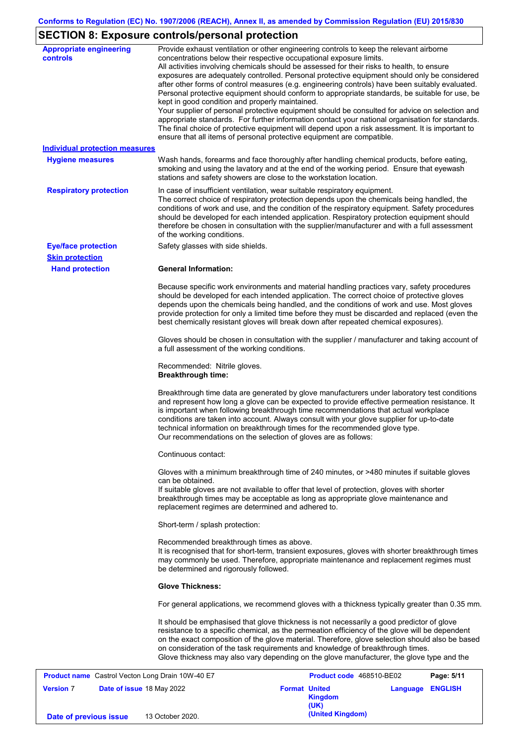# **SECTION 8: Exposure controls/personal protection**

| <b>Appropriate engineering</b><br>controls              | Provide exhaust ventilation or other engineering controls to keep the relevant airborne<br>concentrations below their respective occupational exposure limits.<br>All activities involving chemicals should be assessed for their risks to health, to ensure<br>exposures are adequately controlled. Personal protective equipment should only be considered<br>after other forms of control measures (e.g. engineering controls) have been suitably evaluated.<br>Personal protective equipment should conform to appropriate standards, be suitable for use, be<br>kept in good condition and properly maintained. |
|---------------------------------------------------------|----------------------------------------------------------------------------------------------------------------------------------------------------------------------------------------------------------------------------------------------------------------------------------------------------------------------------------------------------------------------------------------------------------------------------------------------------------------------------------------------------------------------------------------------------------------------------------------------------------------------|
|                                                         | Your supplier of personal protective equipment should be consulted for advice on selection and<br>appropriate standards. For further information contact your national organisation for standards.<br>The final choice of protective equipment will depend upon a risk assessment. It is important to<br>ensure that all items of personal protective equipment are compatible.                                                                                                                                                                                                                                      |
| <b>Individual protection measures</b>                   |                                                                                                                                                                                                                                                                                                                                                                                                                                                                                                                                                                                                                      |
| <b>Hygiene measures</b>                                 | Wash hands, forearms and face thoroughly after handling chemical products, before eating,<br>smoking and using the lavatory and at the end of the working period. Ensure that eyewash<br>stations and safety showers are close to the workstation location.                                                                                                                                                                                                                                                                                                                                                          |
| <b>Respiratory protection</b>                           | In case of insufficient ventilation, wear suitable respiratory equipment.<br>The correct choice of respiratory protection depends upon the chemicals being handled, the<br>conditions of work and use, and the condition of the respiratory equipment. Safety procedures<br>should be developed for each intended application. Respiratory protection equipment should<br>therefore be chosen in consultation with the supplier/manufacturer and with a full assessment<br>of the working conditions.                                                                                                                |
| <b>Eye/face protection</b>                              | Safety glasses with side shields.                                                                                                                                                                                                                                                                                                                                                                                                                                                                                                                                                                                    |
| <b>Skin protection</b>                                  |                                                                                                                                                                                                                                                                                                                                                                                                                                                                                                                                                                                                                      |
| <b>Hand protection</b>                                  | <b>General Information:</b>                                                                                                                                                                                                                                                                                                                                                                                                                                                                                                                                                                                          |
|                                                         | Because specific work environments and material handling practices vary, safety procedures<br>should be developed for each intended application. The correct choice of protective gloves<br>depends upon the chemicals being handled, and the conditions of work and use. Most gloves<br>provide protection for only a limited time before they must be discarded and replaced (even the<br>best chemically resistant gloves will break down after repeated chemical exposures).                                                                                                                                     |
|                                                         | Gloves should be chosen in consultation with the supplier / manufacturer and taking account of<br>a full assessment of the working conditions.                                                                                                                                                                                                                                                                                                                                                                                                                                                                       |
|                                                         | Recommended: Nitrile gloves.<br><b>Breakthrough time:</b>                                                                                                                                                                                                                                                                                                                                                                                                                                                                                                                                                            |
|                                                         | Breakthrough time data are generated by glove manufacturers under laboratory test conditions<br>and represent how long a glove can be expected to provide effective permeation resistance. It<br>is important when following breakthrough time recommendations that actual workplace<br>conditions are taken into account. Always consult with your glove supplier for up-to-date<br>technical information on breakthrough times for the recommended glove type.<br>Our recommendations on the selection of gloves are as follows:                                                                                   |
|                                                         | Continuous contact:                                                                                                                                                                                                                                                                                                                                                                                                                                                                                                                                                                                                  |
|                                                         | Gloves with a minimum breakthrough time of 240 minutes, or >480 minutes if suitable gloves<br>can be obtained.<br>If suitable gloves are not available to offer that level of protection, gloves with shorter<br>breakthrough times may be acceptable as long as appropriate glove maintenance and                                                                                                                                                                                                                                                                                                                   |
|                                                         | replacement regimes are determined and adhered to.<br>Short-term / splash protection:                                                                                                                                                                                                                                                                                                                                                                                                                                                                                                                                |
|                                                         | Recommended breakthrough times as above.<br>It is recognised that for short-term, transient exposures, gloves with shorter breakthrough times<br>may commonly be used. Therefore, appropriate maintenance and replacement regimes must<br>be determined and rigorously followed.                                                                                                                                                                                                                                                                                                                                     |
|                                                         | <b>Glove Thickness:</b>                                                                                                                                                                                                                                                                                                                                                                                                                                                                                                                                                                                              |
|                                                         | For general applications, we recommend gloves with a thickness typically greater than 0.35 mm.                                                                                                                                                                                                                                                                                                                                                                                                                                                                                                                       |
|                                                         | It should be emphasised that glove thickness is not necessarily a good predictor of glove<br>resistance to a specific chemical, as the permeation efficiency of the glove will be dependent<br>on the exact composition of the glove material. Therefore, glove selection should also be based<br>on consideration of the task requirements and knowledge of breakthrough times.<br>Glove thickness may also vary depending on the glove manufacturer, the glove type and the                                                                                                                                        |
|                                                         |                                                                                                                                                                                                                                                                                                                                                                                                                                                                                                                                                                                                                      |
| <b>Product name</b> Castrol Vecton Long Drain 10W-40 E7 | Product code 468510-BE02<br>Page: 5/11                                                                                                                                                                                                                                                                                                                                                                                                                                                                                                                                                                               |

|                        | <b>Product name</b> Castrol Vecton Long Drain 10W-40 E7 | <b>Product code</b> 468510-BE02         |                         | Page: 5/11 |
|------------------------|---------------------------------------------------------|-----------------------------------------|-------------------------|------------|
| <b>Version 7</b>       | Date of issue 18 May 2022                               | <b>Format United</b><br>Kingdom<br>(UK) | <b>Language ENGLISH</b> |            |
| Date of previous issue | 13 October 2020.                                        | (United Kingdom)                        |                         |            |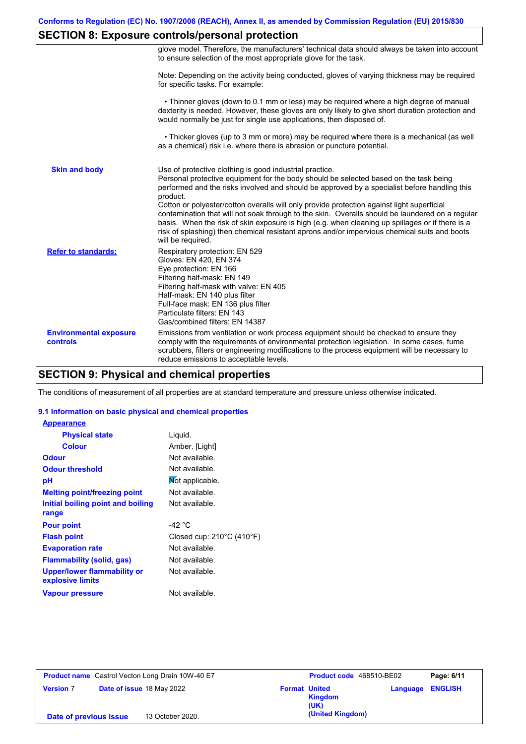# **SECTION 8: Exposure controls/personal protection**

|                                           | glove model. Therefore, the manufacturers' technical data should always be taken into account<br>to ensure selection of the most appropriate glove for the task.                                                                                                                                                                                                                                                                                                                                                                                                                                                                                                                      |
|-------------------------------------------|---------------------------------------------------------------------------------------------------------------------------------------------------------------------------------------------------------------------------------------------------------------------------------------------------------------------------------------------------------------------------------------------------------------------------------------------------------------------------------------------------------------------------------------------------------------------------------------------------------------------------------------------------------------------------------------|
|                                           | Note: Depending on the activity being conducted, gloves of varying thickness may be required<br>for specific tasks. For example:                                                                                                                                                                                                                                                                                                                                                                                                                                                                                                                                                      |
|                                           | • Thinner gloves (down to 0.1 mm or less) may be required where a high degree of manual<br>dexterity is needed. However, these gloves are only likely to give short duration protection and<br>would normally be just for single use applications, then disposed of.                                                                                                                                                                                                                                                                                                                                                                                                                  |
|                                           | • Thicker gloves (up to 3 mm or more) may be required where there is a mechanical (as well<br>as a chemical) risk i.e. where there is abrasion or puncture potential.                                                                                                                                                                                                                                                                                                                                                                                                                                                                                                                 |
| <b>Skin and body</b>                      | Use of protective clothing is good industrial practice.<br>Personal protective equipment for the body should be selected based on the task being<br>performed and the risks involved and should be approved by a specialist before handling this<br>product.<br>Cotton or polyester/cotton overalls will only provide protection against light superficial<br>contamination that will not soak through to the skin. Overalls should be laundered on a regular<br>basis. When the risk of skin exposure is high (e.g. when cleaning up spillages or if there is a<br>risk of splashing) then chemical resistant aprons and/or impervious chemical suits and boots<br>will be required. |
| <b>Refer to standards:</b>                | Respiratory protection: EN 529<br>Gloves: EN 420, EN 374<br>Eye protection: EN 166<br>Filtering half-mask: EN 149<br>Filtering half-mask with valve: EN 405<br>Half-mask: EN 140 plus filter<br>Full-face mask: EN 136 plus filter<br>Particulate filters: EN 143<br>Gas/combined filters: EN 14387                                                                                                                                                                                                                                                                                                                                                                                   |
| <b>Environmental exposure</b><br>controls | Emissions from ventilation or work process equipment should be checked to ensure they<br>comply with the requirements of environmental protection legislation. In some cases, fume<br>scrubbers, filters or engineering modifications to the process equipment will be necessary to<br>reduce emissions to acceptable levels.                                                                                                                                                                                                                                                                                                                                                         |

# **SECTION 9: Physical and chemical properties**

The conditions of measurement of all properties are at standard temperature and pressure unless otherwise indicated.

### **9.1 Information on basic physical and chemical properties**

| <b>Appearance</b>                               |                                     |
|-------------------------------------------------|-------------------------------------|
| <b>Physical state</b>                           | Liquid.                             |
| <b>Colour</b>                                   | Amber. [Light]                      |
| <b>Odour</b>                                    | Not available.                      |
| <b>Odour threshold</b>                          | Not available.                      |
| рH                                              | Mot applicable.                     |
| <b>Melting point/freezing point</b>             | Not available.                      |
| Initial boiling point and boiling               | Not available.                      |
| range                                           |                                     |
| <b>Pour point</b>                               | -42 °C                              |
| <b>Flash point</b>                              | Closed cup: $210^{\circ}$ C (410°F) |
| <b>Evaporation rate</b>                         | Not available.                      |
| <b>Flammability (solid, gas)</b>                | Not available.                      |
| Upper/lower flammability or<br>explosive limits | Not available.                      |
| <b>Vapour pressure</b>                          | Not available.                      |

| <b>Product name</b> Castrol Vecton Long Drain 10W-40 E7 |                           |                  | <b>Product code</b> 468510-BE02         | Page: 6/11              |  |
|---------------------------------------------------------|---------------------------|------------------|-----------------------------------------|-------------------------|--|
| <b>Version 7</b>                                        | Date of issue 18 May 2022 |                  | <b>Format United</b><br>Kingdom<br>(UK) | <b>Language ENGLISH</b> |  |
| Date of previous issue                                  |                           | 13 October 2020. | (United Kingdom)                        |                         |  |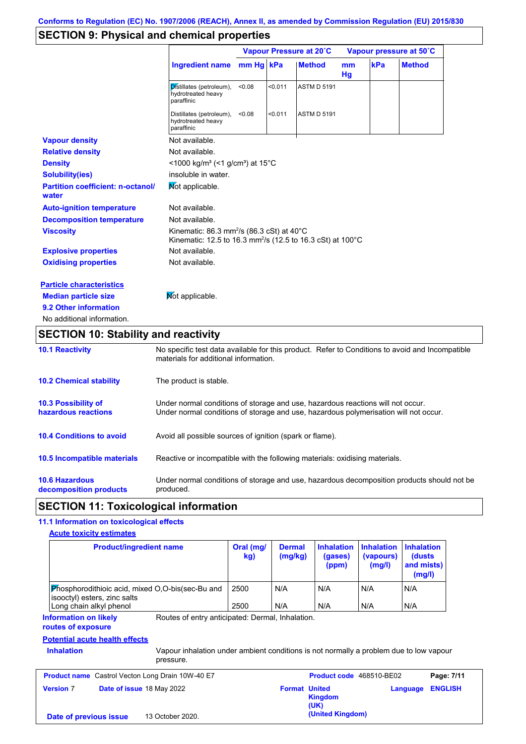# **SECTION 9: Physical and chemical properties**

|                                                   |                                                                                                                                            | Vapour Pressure at 20°C |         |                    | Vapour pressure at 50°C |     |               |
|---------------------------------------------------|--------------------------------------------------------------------------------------------------------------------------------------------|-------------------------|---------|--------------------|-------------------------|-----|---------------|
|                                                   | <b>Ingredient name</b>                                                                                                                     | mm Hg kPa               |         | <b>Method</b>      | mm<br>Hg                | kPa | <b>Method</b> |
|                                                   | Distillates (petroleum),<br>hydrotreated heavy<br>paraffinic                                                                               | < 0.08                  | < 0.011 | <b>ASTM D 5191</b> |                         |     |               |
|                                                   | Distillates (petroleum),<br>hydrotreated heavy<br>paraffinic                                                                               | < 0.08                  | < 0.011 | <b>ASTM D 5191</b> |                         |     |               |
| <b>Vapour density</b>                             | Not available.                                                                                                                             |                         |         |                    |                         |     |               |
| <b>Relative density</b>                           | Not available.                                                                                                                             |                         |         |                    |                         |     |               |
| <b>Density</b>                                    | <1000 kg/m <sup>3</sup> (<1 g/cm <sup>3</sup> ) at 15 <sup>°</sup> C                                                                       |                         |         |                    |                         |     |               |
| <b>Solubility(ies)</b>                            | insoluble in water.                                                                                                                        |                         |         |                    |                         |     |               |
| <b>Partition coefficient: n-octanol/</b><br>water | Mot applicable.                                                                                                                            |                         |         |                    |                         |     |               |
| <b>Auto-ignition temperature</b>                  | Not available.                                                                                                                             |                         |         |                    |                         |     |               |
| <b>Decomposition temperature</b>                  | Not available.                                                                                                                             |                         |         |                    |                         |     |               |
| <b>Viscosity</b>                                  | Kinematic: 86.3 mm <sup>2</sup> /s (86.3 cSt) at 40 $^{\circ}$ C<br>Kinematic: 12.5 to 16.3 mm <sup>2</sup> /s (12.5 to 16.3 cSt) at 100°C |                         |         |                    |                         |     |               |
| <b>Explosive properties</b>                       | Not available.                                                                                                                             |                         |         |                    |                         |     |               |
| <b>Oxidising properties</b>                       | Not available.                                                                                                                             |                         |         |                    |                         |     |               |
| <b>Particle characteristics</b>                   |                                                                                                                                            |                         |         |                    |                         |     |               |
| <b>Median particle size</b>                       | Not applicable.                                                                                                                            |                         |         |                    |                         |     |               |
| 9.2 Other information                             |                                                                                                                                            |                         |         |                    |                         |     |               |
| No additional information.                        |                                                                                                                                            |                         |         |                    |                         |     |               |

# **SECTION 10: Stability and reactivity**

| <b>10.1 Reactivity</b>                            | No specific test data available for this product. Refer to Conditions to avoid and Incompatible<br>materials for additional information.                                |
|---------------------------------------------------|-------------------------------------------------------------------------------------------------------------------------------------------------------------------------|
| <b>10.2 Chemical stability</b>                    | The product is stable.                                                                                                                                                  |
| <b>10.3 Possibility of</b><br>hazardous reactions | Under normal conditions of storage and use, hazardous reactions will not occur.<br>Under normal conditions of storage and use, hazardous polymerisation will not occur. |
| <b>10.4 Conditions to avoid</b>                   | Avoid all possible sources of ignition (spark or flame).                                                                                                                |
| <b>10.5 Incompatible materials</b>                | Reactive or incompatible with the following materials: oxidising materials.                                                                                             |
| <b>10.6 Hazardous</b><br>decomposition products   | Under normal conditions of storage and use, hazardous decomposition products should not be<br>produced.                                                                 |

# **SECTION 11: Toxicological information**

# **11.1 Information on toxicological effects**

|  | <b>Acute toxicity estimates</b> |  |
|--|---------------------------------|--|
|  |                                 |  |

| <b>Product/ingredient name</b>                                                                                                                                       | Oral (mg/<br>kg) | <b>Dermal</b><br>(mg/kg) | <b>Inhalation</b><br>(gases)<br>(ppm) | <b>Inhalation</b><br>(vapours)<br>(mg/l) | <b>Inhalation</b><br>(dusts)<br>and mists)<br>(mg/l) |
|----------------------------------------------------------------------------------------------------------------------------------------------------------------------|------------------|--------------------------|---------------------------------------|------------------------------------------|------------------------------------------------------|
| Phosphorodithioic acid, mixed O,O-bis(sec-Bu and<br>isooctyl) esters, zinc salts                                                                                     | 2500             | N/A                      | N/A                                   | N/A                                      | N/A                                                  |
| Long chain alkyl phenol                                                                                                                                              | 2500             | N/A                      | N/A                                   | N/A                                      | N/A                                                  |
| Routes of entry anticipated: Dermal, Inhalation.<br><b>Information on likely</b><br>routes of exposure<br><b>Potential acute health effects</b><br><b>Inhalation</b> |                  |                          |                                       |                                          |                                                      |
| Vapour inhalation under ambient conditions is not normally a problem due to low vapour<br>pressure.                                                                  |                  |                          |                                       |                                          |                                                      |
| Castrol Vecton Long Drain 10W-40 E7<br><b>Product name</b>                                                                                                           |                  |                          | Product code 468510-BE02              |                                          | Page: 7/11                                           |
| <b>Version 7</b><br><b>Date of issue 18 May 2022</b>                                                                                                                 |                  | <b>Format United</b>     | <b>Kingdom</b><br>(UK)                |                                          | <b>ENGLISH</b><br>Language                           |
| 13 October 2020.<br>Date of previous issue                                                                                                                           |                  |                          | (United Kingdom)                      |                                          |                                                      |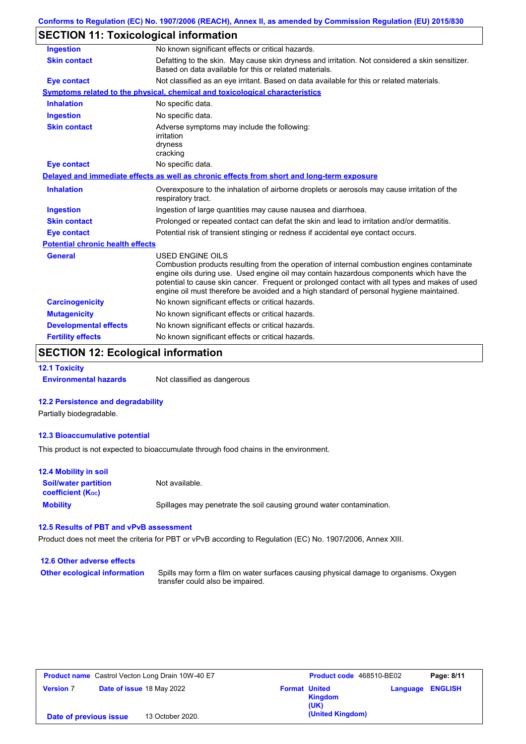# **SECTION 11: Toxicological information**

| <b>Ingestion</b>                        | No known significant effects or critical hazards.                                                                                                                                                                                                                                                                                                                                                               |
|-----------------------------------------|-----------------------------------------------------------------------------------------------------------------------------------------------------------------------------------------------------------------------------------------------------------------------------------------------------------------------------------------------------------------------------------------------------------------|
| <b>Skin contact</b>                     | Defatting to the skin. May cause skin dryness and irritation. Not considered a skin sensitizer.<br>Based on data available for this or related materials.                                                                                                                                                                                                                                                       |
| <b>Eye contact</b>                      | Not classified as an eye irritant. Based on data available for this or related materials.                                                                                                                                                                                                                                                                                                                       |
|                                         | Symptoms related to the physical, chemical and toxicological characteristics                                                                                                                                                                                                                                                                                                                                    |
| <b>Inhalation</b>                       | No specific data.                                                                                                                                                                                                                                                                                                                                                                                               |
| <b>Ingestion</b>                        | No specific data.                                                                                                                                                                                                                                                                                                                                                                                               |
| <b>Skin contact</b>                     | Adverse symptoms may include the following:<br>irritation<br>dryness<br>cracking                                                                                                                                                                                                                                                                                                                                |
| <b>Eye contact</b>                      | No specific data.                                                                                                                                                                                                                                                                                                                                                                                               |
|                                         | Delayed and immediate effects as well as chronic effects from short and long-term exposure                                                                                                                                                                                                                                                                                                                      |
| <b>Inhalation</b>                       | Overexposure to the inhalation of airborne droplets or aerosols may cause irritation of the<br>respiratory tract.                                                                                                                                                                                                                                                                                               |
| <b>Ingestion</b>                        | Ingestion of large quantities may cause nausea and diarrhoea.                                                                                                                                                                                                                                                                                                                                                   |
| <b>Skin contact</b>                     | Prolonged or repeated contact can defat the skin and lead to irritation and/or dermatitis.                                                                                                                                                                                                                                                                                                                      |
| <b>Eye contact</b>                      | Potential risk of transient stinging or redness if accidental eye contact occurs.                                                                                                                                                                                                                                                                                                                               |
| <b>Potential chronic health effects</b> |                                                                                                                                                                                                                                                                                                                                                                                                                 |
| <b>General</b>                          | <b>USED ENGINE OILS</b><br>Combustion products resulting from the operation of internal combustion engines contaminate<br>engine oils during use. Used engine oil may contain hazardous components which have the<br>potential to cause skin cancer. Frequent or prolonged contact with all types and makes of used<br>engine oil must therefore be avoided and a high standard of personal hygiene maintained. |
| <b>Carcinogenicity</b>                  | No known significant effects or critical hazards.                                                                                                                                                                                                                                                                                                                                                               |
| <b>Mutagenicity</b>                     | No known significant effects or critical hazards.                                                                                                                                                                                                                                                                                                                                                               |
| <b>Developmental effects</b>            | No known significant effects or critical hazards.                                                                                                                                                                                                                                                                                                                                                               |
| <b>Fertility effects</b>                | No known significant effects or critical hazards.                                                                                                                                                                                                                                                                                                                                                               |

# **SECTION 12: Ecological information**

#### **12.1 Toxicity**

**Environmental hazards** Not classified as dangerous

### **12.2 Persistence and degradability**

Partially biodegradable.

#### **12.3 Bioaccumulative potential**

This product is not expected to bioaccumulate through food chains in the environment.

| <b>12.4 Mobility in soil</b>                                  |                                                                      |
|---------------------------------------------------------------|----------------------------------------------------------------------|
| <b>Soil/water partition</b><br>coefficient (K <sub>oc</sub> ) | Not available.                                                       |
| <b>Mobility</b>                                               | Spillages may penetrate the soil causing ground water contamination. |

### **12.5 Results of PBT and vPvB assessment**

Product does not meet the criteria for PBT or vPvB according to Regulation (EC) No. 1907/2006, Annex XIII.

| 12.6 Other adverse effects          |                                                                                                                           |
|-------------------------------------|---------------------------------------------------------------------------------------------------------------------------|
| <b>Other ecological information</b> | Spills may form a film on water surfaces causing physical damage to organisms. Oxygen<br>transfer could also be impaired. |

| <b>Product name</b> Castrol Vecton Long Drain 10W-40 E7 |  | <b>Product code</b> 468510-BE02 |                      | Page: 8/11             |          |                |
|---------------------------------------------------------|--|---------------------------------|----------------------|------------------------|----------|----------------|
| <b>Version 7</b>                                        |  | Date of issue 18 May 2022       | <b>Format United</b> | <b>Kingdom</b><br>(UK) | Language | <b>ENGLISH</b> |
| Date of previous issue                                  |  | 13 October 2020.                |                      | (United Kingdom)       |          |                |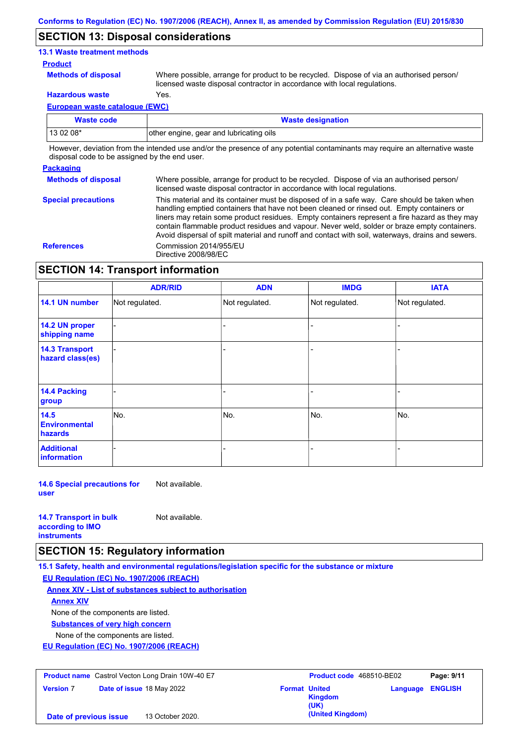### **SECTION 13: Disposal considerations**

### **13.1 Waste treatment methods**

### **Product**

**Methods of disposal**

Where possible, arrange for product to be recycled. Dispose of via an authorised person/ licensed waste disposal contractor in accordance with local regulations.

**Hazardous waste** Yes.

**European waste catalogue (EWC)**

| <b>Waste code</b> | <b>Waste designation</b>                 |
|-------------------|------------------------------------------|
| 13 02 08*         | lother engine, gear and lubricating oils |

However, deviation from the intended use and/or the presence of any potential contaminants may require an alternative waste disposal code to be assigned by the end user.

### **Packaging**

**Methods of disposal Special precautions** Where possible, arrange for product to be recycled. Dispose of via an authorised person/ licensed waste disposal contractor in accordance with local regulations.

This material and its container must be disposed of in a safe way. Care should be taken when handling emptied containers that have not been cleaned or rinsed out. Empty containers or liners may retain some product residues. Empty containers represent a fire hazard as they may contain flammable product residues and vapour. Never weld, solder or braze empty containers. Avoid dispersal of spilt material and runoff and contact with soil, waterways, drains and sewers. **References** Commission 2014/955/EU Directive 2008/98/EC

# **SECTION 14: Transport information**

|                                           | <b>ADR/RID</b> | <b>ADN</b>     | <b>IMDG</b>    | <b>IATA</b>    |  |  |
|-------------------------------------------|----------------|----------------|----------------|----------------|--|--|
| 14.1 UN number                            | Not regulated. | Not regulated. | Not regulated. | Not regulated. |  |  |
| 14.2 UN proper<br>shipping name           |                |                |                |                |  |  |
| <b>14.3 Transport</b><br>hazard class(es) |                |                |                |                |  |  |
| <b>14.4 Packing</b><br>group              |                |                |                |                |  |  |
| 14.5<br><b>Environmental</b><br>hazards   | No.            | No.            | No.            | No.            |  |  |
| <b>Additional</b><br>information          |                |                |                |                |  |  |

**14.6 Special precautions for user** Not available.

| <b>14.7 Transport in bulk</b> | Not available. |
|-------------------------------|----------------|
| according to <b>IMO</b>       |                |
| <b>instruments</b>            |                |

### **SECTION 15: Regulatory information**

**15.1 Safety, health and environmental regulations/legislation specific for the substance or mixture EU Regulation (EC) No. 1907/2006 (REACH)**

**Annex XIV - List of substances subject to authorisation**

**Annex XIV**

None of the components are listed.

**Substances of very high concern**

None of the components are listed.

**EU Regulation (EC) No. 1907/2006 (REACH)**

| <b>Product name</b> Castrol Vecton Long Drain 10W-40 E7 |  | <b>Product code</b> 468510-BE02 |                      | Page: 9/11             |                         |  |
|---------------------------------------------------------|--|---------------------------------|----------------------|------------------------|-------------------------|--|
| <b>Version 7</b>                                        |  | Date of issue 18 May 2022       | <b>Format United</b> | <b>Kingdom</b><br>(UK) | <b>Language ENGLISH</b> |  |
| Date of previous issue                                  |  | 13 October 2020.                |                      | (United Kingdom)       |                         |  |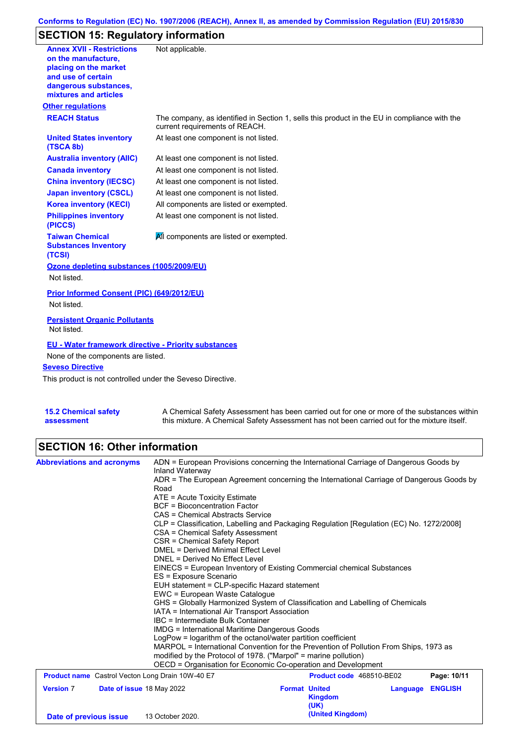# **Conforms to Regulation (EC) No. 1907/2006 (REACH), Annex II, as amended by Commission Regulation (EU) 2015/830**

# **SECTION 15: Regulatory information**

| <b>Annex XVII - Restrictions</b><br>on the manufacture.<br>placing on the market<br>and use of certain<br>dangerous substances,<br>mixtures and articles | Not applicable.                                                                                                                |
|----------------------------------------------------------------------------------------------------------------------------------------------------------|--------------------------------------------------------------------------------------------------------------------------------|
| <b>Other regulations</b>                                                                                                                                 |                                                                                                                                |
| <b>REACH Status</b>                                                                                                                                      | The company, as identified in Section 1, sells this product in the EU in compliance with the<br>current requirements of REACH. |
| <b>United States inventory</b><br>(TSCA 8b)                                                                                                              | At least one component is not listed.                                                                                          |
| <b>Australia inventory (AIIC)</b>                                                                                                                        | At least one component is not listed.                                                                                          |
| <b>Canada inventory</b>                                                                                                                                  | At least one component is not listed.                                                                                          |
| <b>China inventory (IECSC)</b>                                                                                                                           | At least one component is not listed.                                                                                          |
| <b>Japan inventory (CSCL)</b>                                                                                                                            | At least one component is not listed.                                                                                          |
| <b>Korea inventory (KECI)</b>                                                                                                                            | All components are listed or exempted.                                                                                         |
| <b>Philippines inventory</b><br>(PICCS)                                                                                                                  | At least one component is not listed.                                                                                          |
| <b>Taiwan Chemical</b><br><b>Substances Inventory</b><br>(TCSI)                                                                                          | All components are listed or exempted.                                                                                         |
| Ozone depleting substances (1005/2009/EU)                                                                                                                |                                                                                                                                |
| Not listed.                                                                                                                                              |                                                                                                                                |
| Prior Informed Consent (PIC) (649/2012/EU)<br>Not listed.                                                                                                |                                                                                                                                |
| <b>Persistent Organic Pollutants</b><br>Not listed.                                                                                                      |                                                                                                                                |
| <b>EU - Water framework directive - Priority substances</b>                                                                                              |                                                                                                                                |
| None of the components are listed.                                                                                                                       |                                                                                                                                |
| <b>Seveso Directive</b>                                                                                                                                  |                                                                                                                                |
| This product is not controlled under the Seveso Directive.                                                                                               |                                                                                                                                |
| <b>15.2 Chemical safety</b>                                                                                                                              | A Chemical Safety Assessment has been carried out for one or more of the substances within                                     |

A Chemical Safety Assessment has been carried out for one or more of the substances within this mixture. A Chemical Safety Assessment has not been carried out for the mixture itself.

### **SECTION 16: Other information**

**assessment**

| <b>Abbreviations and acronyms</b>                       | ADN = European Provisions concerning the International Carriage of Dangerous Goods by<br>Inland Waterway<br>ADR = The European Agreement concerning the International Carriage of Dangerous Goods by<br>Road |                                                                               |                                        |          |                |  |  |  |
|---------------------------------------------------------|--------------------------------------------------------------------------------------------------------------------------------------------------------------------------------------------------------------|-------------------------------------------------------------------------------|----------------------------------------|----------|----------------|--|--|--|
|                                                         |                                                                                                                                                                                                              |                                                                               |                                        |          |                |  |  |  |
|                                                         | $ATE =$ Acute Toxicity Estimate                                                                                                                                                                              |                                                                               |                                        |          |                |  |  |  |
|                                                         | <b>BCF</b> = Bioconcentration Factor                                                                                                                                                                         |                                                                               |                                        |          |                |  |  |  |
|                                                         | CAS = Chemical Abstracts Service                                                                                                                                                                             |                                                                               |                                        |          |                |  |  |  |
|                                                         | CLP = Classification, Labelling and Packaging Regulation [Regulation (EC) No. 1272/2008]                                                                                                                     |                                                                               |                                        |          |                |  |  |  |
|                                                         | CSA = Chemical Safety Assessment                                                                                                                                                                             |                                                                               |                                        |          |                |  |  |  |
|                                                         | CSR = Chemical Safety Report                                                                                                                                                                                 |                                                                               |                                        |          |                |  |  |  |
|                                                         | <b>DMEL = Derived Minimal Effect Level</b>                                                                                                                                                                   |                                                                               |                                        |          |                |  |  |  |
|                                                         | DNEL = Derived No Effect Level                                                                                                                                                                               |                                                                               |                                        |          |                |  |  |  |
|                                                         | ES = Exposure Scenario                                                                                                                                                                                       | EINECS = European Inventory of Existing Commercial chemical Substances        |                                        |          |                |  |  |  |
|                                                         | EUH statement = CLP-specific Hazard statement                                                                                                                                                                |                                                                               |                                        |          |                |  |  |  |
|                                                         | EWC = European Waste Catalogue                                                                                                                                                                               |                                                                               |                                        |          |                |  |  |  |
|                                                         |                                                                                                                                                                                                              | GHS = Globally Harmonized System of Classification and Labelling of Chemicals |                                        |          |                |  |  |  |
|                                                         | IATA = International Air Transport Association                                                                                                                                                               |                                                                               |                                        |          |                |  |  |  |
|                                                         | IBC = Intermediate Bulk Container                                                                                                                                                                            |                                                                               |                                        |          |                |  |  |  |
|                                                         | IMDG = International Maritime Dangerous Goods                                                                                                                                                                |                                                                               |                                        |          |                |  |  |  |
|                                                         | LogPow = logarithm of the octanol/water partition coefficient                                                                                                                                                |                                                                               |                                        |          |                |  |  |  |
|                                                         | MARPOL = International Convention for the Prevention of Pollution From Ships, 1973 as                                                                                                                        |                                                                               |                                        |          |                |  |  |  |
|                                                         |                                                                                                                                                                                                              | modified by the Protocol of 1978. ("Marpol" = marine pollution)               |                                        |          |                |  |  |  |
|                                                         | OECD = Organisation for Economic Co-operation and Development                                                                                                                                                |                                                                               |                                        |          |                |  |  |  |
| <b>Product name</b> Castrol Vecton Long Drain 10W-40 E7 |                                                                                                                                                                                                              |                                                                               | Product code 468510-BE02               |          | Page: 10/11    |  |  |  |
| <b>Version 7</b>                                        | Date of issue 18 May 2022                                                                                                                                                                                    |                                                                               | <b>Format United</b><br><b>Kingdom</b> | Language | <b>ENGLISH</b> |  |  |  |
| Date of previous issue                                  | 13 October 2020.                                                                                                                                                                                             |                                                                               | (UK)<br>(United Kingdom)               |          |                |  |  |  |